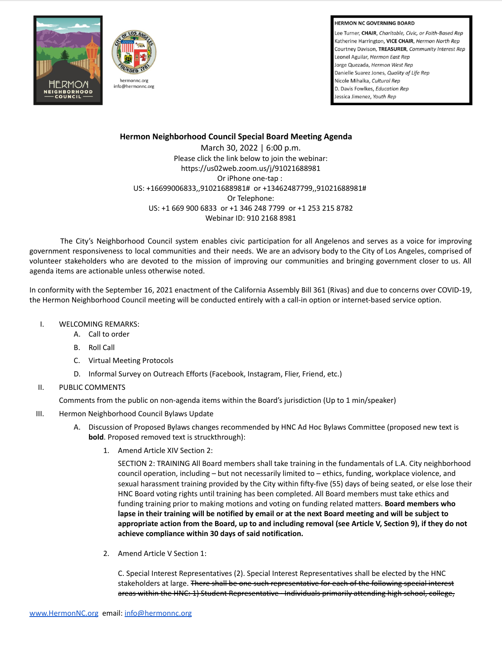**HERMON NC GOVERNING BOARD** 

Lee Turner, CHAIR, Charitable, Civic, or Faith-Based Rep Katherine Harrington, VICE CHAIR, Hermon North Rep Courtney Davison, TREASURER, Community Interest Rep Leonel Aguilar, Hermon East Rep Jorge Quezada, Hermon West Rep Danielle Suarez Jones, Quality of Life Rep Nicole Mihalka, Cultural Rep D. Davis Fowlkes, Education Rep. Jessica Jimenez, Youth Rep





## **Hermon Neighborhood Council Special Board Meeting Agenda**

March 30, 2022 | 6:00 p.m. Please click the link below to join the webinar: https://us02web.zoom.us/j/91021688981 Or iPhone one-tap : US: +16699006833,,91021688981# or +13462487799,,91021688981# Or Telephone: US: +1 669 900 6833 or +1 346 248 7799 or +1 253 215 8782 Webinar ID: 910 2168 8981

The City's Neighborhood Council system enables civic participation for all Angelenos and serves as a voice for improving government responsiveness to local communities and their needs. We are an advisory body to the City of Los Angeles, comprised of volunteer stakeholders who are devoted to the mission of improving our communities and bringing government closer to us. All agenda items are actionable unless otherwise noted.

In conformity with the September 16, 2021 enactment of the California Assembly Bill 361 (Rivas) and due to concerns over COVID-19, the Hermon Neighborhood Council meeting will be conducted entirely with a call-in option or internet-based service option.

- I. WELCOMING REMARKS:
	- A. Call to order
		- B. Roll Call
		- C. Virtual Meeting Protocols
		- D. Informal Survey on Outreach Efforts (Facebook, Instagram, Flier, Friend, etc.)
- II. PUBLIC COMMENTS

Comments from the public on non-agenda items within the Board's jurisdiction (Up to 1 min/speaker)

- III. Hermon Neighborhood Council Bylaws Update
	- A. Discussion of Proposed Bylaws changes recommended by HNC Ad Hoc Bylaws Committee (proposed new text is **bold**. Proposed removed text is struckthrough):
		- 1. Amend Article XIV Section 2:

SECTION 2: TRAINING All Board members shall take training in the fundamentals of L.A. City neighborhood council operation, including – but not necessarily limited to – ethics, funding, workplace violence, and sexual harassment training provided by the City within fifty-five (55) days of being seated, or else lose their HNC Board voting rights until training has been completed. All Board members must take ethics and funding training prior to making motions and voting on funding related matters. **Board members who** lapse in their training will be notified by email or at the next Board meeting and will be subject to appropriate action from the Board, up to and including removal (see Article V, Section 9), if they do not **achieve compliance within 30 days of said notification.**

2. Amend Article V Section 1:

C. Special Interest Representatives (2). Special Interest Representatives shall be elected by the HNC stakeholders at large. There shall be one such representative for each of the following special interest areas within the HNC: 1) Student Representative · Individuals primarily attending high school, college,